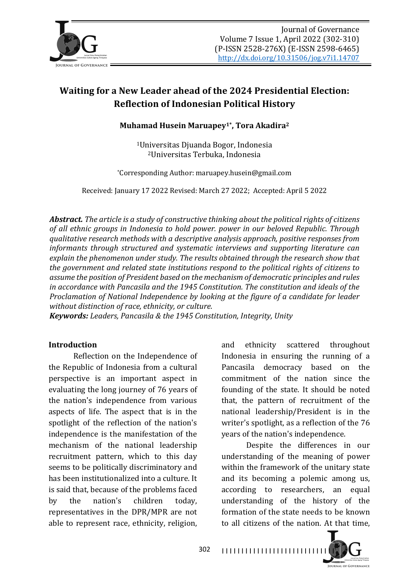

# **Waiting for a New Leader ahead of the 2024 Presidential Election: Reflection of Indonesian Political History**

**Muhamad Husein Maruapey<sup>1\*</sup>, Tora Akadira<sup>2</sup>** 

<sup>1</sup>Universitas Djuanda Bogor, Indonesia 2Universitas Terbuka, Indonesia

\*Corresponding Author: maruapey.husein@gmail.com

Received: January 17 2022 Revised: March 27 2022; Accepted: April 5 2022

**Abstract.** The article is a study of constructive thinking about the political rights of citizens of all ethnic groups in Indonesia to hold power. power in our beloved Republic. Through *qualitative research methods with a descriptive analysis approach, positive responses from informants through structured and systematic interviews and supporting literature can* explain the phenomenon under study. The results obtained through the research show that *the government and related state institutions respond to the political rights of citizens to* assume the position of President based on the mechanism of democratic principles and rules in accordance with Pancasila and the 1945 Constitution. The constitution and *ideals* of the *Proclamation of National Independence by looking at the figure of a candidate for leader* without distinction of race, ethnicity, or culture.

*Keywords: Leaders, Pancasila & the 1945 Constitution, Integrity, Unity* 

#### **Introduction**

Reflection on the Independence of the Republic of Indonesia from a cultural perspective is an important aspect in evaluating the long journey of 76 years of the nation's independence from various aspects of life. The aspect that is in the spotlight of the reflection of the nation's independence is the manifestation of the mechanism of the national leadership recruitment pattern, which to this day seems to be politically discriminatory and has been institutionalized into a culture. It is said that, because of the problems faced by the nation's children today, representatives in the DPR/MPR are not able to represent race, ethnicity, religion,

and ethnicity scattered throughout Indonesia in ensuring the running of a Pancasila democracy based on the commitment of the nation since the founding of the state. It should be noted that, the pattern of recruitment of the national leadership/President is in the writer's spotlight, as a reflection of the 76 years of the nation's independence.

Despite the differences in our understanding of the meaning of power within the framework of the unitary state and its becoming a polemic among us, according to researchers, an equal understanding of the history of the formation of the state needs to be known to all citizens of the nation. At that time,

302 I I I I I I I I I I I I I I I I I I I I I I I I I I I I I

**JOURNAL OF GOVERNANCE**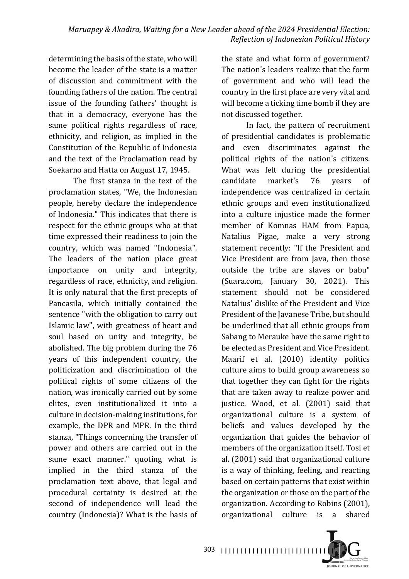determining the basis of the state, who will become the leader of the state is a matter of discussion and commitment with the founding fathers of the nation. The central issue of the founding fathers' thought is that in a democracy, everyone has the same political rights regardless of race, ethnicity, and religion, as implied in the Constitution of the Republic of Indonesia and the text of the Proclamation read by Soekarno and Hatta on August 17, 1945.

The first stanza in the text of the proclamation states, "We, the Indonesian people, hereby declare the independence of Indonesia." This indicates that there is respect for the ethnic groups who at that time expressed their readiness to join the country, which was named "Indonesia". The leaders of the nation place great importance on unity and integrity, regardless of race, ethnicity, and religion. It is only natural that the first precepts of Pancasila, which initially contained the sentence "with the obligation to carry out Islamic law", with greatness of heart and soul based on unity and integrity, be abolished. The big problem during the 76 years of this independent country, the politicization and discrimination of the political rights of some citizens of the nation, was ironically carried out by some elites, even institutionalized it into a culture in decision-making institutions, for example, the DPR and MPR. In the third stanza, "Things concerning the transfer of power and others are carried out in the same exact manner." quoting what is implied in the third stanza of the proclamation text above, that legal and procedural certainty is desired at the second of independence will lead the country (Indonesia)? What is the basis of

the state and what form of government? The nation's leaders realize that the form of government and who will lead the country in the first place are very vital and will become a ticking time bomb if they are not discussed together.

In fact, the pattern of recruitment of presidential candidates is problematic and even discriminates against the political rights of the nation's citizens. What was felt during the presidential candidate market's 76 years of independence was centralized in certain ethnic groups and even institutionalized into a culture injustice made the former member of Komnas HAM from Papua, Natalius Pigae, make a very strong statement recently: "If the President and Vice President are from Java, then those outside the tribe are slaves or babu" (Suara.com, January 30, 2021). This statement should not be considered Natalius' dislike of the President and Vice President of the Javanese Tribe, but should be underlined that all ethnic groups from Sabang to Merauke have the same right to be elected as President and Vice President. Maarif et al. (2010) identity politics culture aims to build group awareness so that together they can fight for the rights that are taken away to realize power and justice. Wood, et al. (2001) said that organizational culture is a system of beliefs and values developed by the organization that guides the behavior of members of the organization itself. Tosi et al. (2001) said that organizational culture is a way of thinking, feeling, and reacting based on certain patterns that exist within the organization or those on the part of the organization. According to Robins (2001), organizational culture is a shared

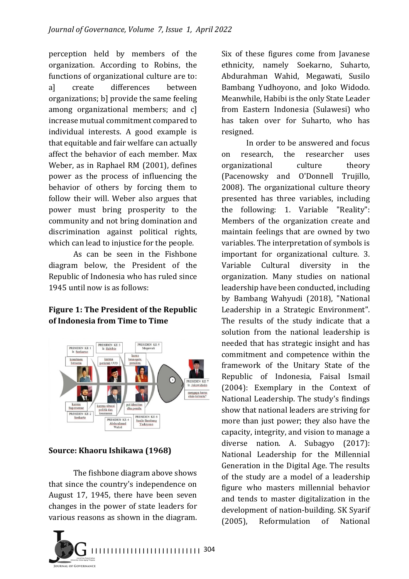perception held by members of the organization. According to Robins, the functions of organizational culture are to: al create differences between organizations; b] provide the same feeling among organizational members; and c] increase mutual commitment compared to individual interests. A good example is that equitable and fair welfare can actually affect the behavior of each member. Max Weber, as in Raphael RM (2001), defines power as the process of influencing the behavior of others by forcing them to follow their will. Weber also argues that power must bring prosperity to the community and not bring domination and discrimination against political rights, which can lead to injustice for the people.

As can be seen in the Fishbone diagram below, the President of the Republic of Indonesia who has ruled since 1945 until now is as follows:

# **Figure 1: The President of the Republic** of Indonesia from Time to Time



**Source: Khaoru Ishikawa (1968)** 

The fishbone diagram above shows that since the country's independence on August 17, 1945, there have been seven changes in the power of state leaders for various reasons as shown in the diagram.



Six of these figures come from Javanese ethnicity, namely Soekarno, Suharto, Abdurahman Wahid, Megawati, Susilo Bambang Yudhoyono, and Joko Widodo. Meanwhile, Habibi is the only State Leader from Eastern Indonesia (Sulawesi) who has taken over for Suharto, who has resigned.

In order to be answered and focus on research, the researcher uses organizational culture theory (Pacenowsky and O'Donnell Trujillo, 2008). The organizational culture theory presented has three variables, including the following: 1. Variable "Reality": Members of the organization create and maintain feelings that are owned by two variables. The interpretation of symbols is important for organizational culture. 3. Variable Cultural diversity in the organization. Many studies on national leadership have been conducted, including by Bambang Wahyudi (2018), "National Leadership in a Strategic Environment". The results of the study indicate that a solution from the national leadership is needed that has strategic insight and has commitment and competence within the framework of the Unitary State of the Republic of Indonesia, Faisal Ismail  $(2004)$ : Exemplary in the Context of National Leadership. The study's findings show that national leaders are striving for more than just power; they also have the capacity, integrity, and vision to manage a diverse nation. A. Subagyo  $(2017)$ : National Leadership for the Millennial Generation in the Digital Age. The results of the study are a model of a leadership figure who masters millennial behavior and tends to master digitalization in the development of nation-building. SK Syarif (2005). Reformulation of National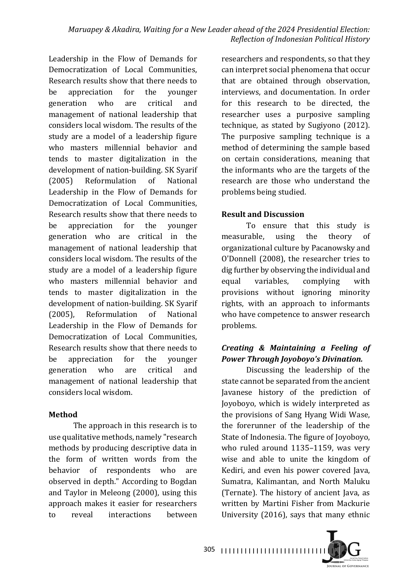Leadership in the Flow of Demands for Democratization of Local Communities, Research results show that there needs to be appreciation for the younger generation who are critical and management of national leadership that considers local wisdom. The results of the study are a model of a leadership figure who masters millennial behavior and tends to master digitalization in the development of nation-building. SK Syarif (2005) Reformulation of National Leadership in the Flow of Demands for Democratization of Local Communities. Research results show that there needs to be appreciation for the vounger generation who are critical in the management of national leadership that considers local wisdom. The results of the study are a model of a leadership figure who masters millennial behavior and tends to master digitalization in the development of nation-building. SK Syarif (2005), Reformulation of National Leadership in the Flow of Demands for Democratization of Local Communities. Research results show that there needs to be appreciation for the younger generation who are critical and management of national leadership that considers local wisdom.

# **Method**

The approach in this research is to use qualitative methods, namely "research methods by producing descriptive data in the form of written words from the behavior of respondents who are observed in depth." According to Bogdan and Taylor in Meleong  $(2000)$ , using this approach makes it easier for researchers to reveal interactions between 

researchers and respondents, so that they can interpret social phenomena that occur that are obtained through observation, interviews, and documentation. In order for this research to be directed, the researcher uses a purposive sampling technique, as stated by Sugiyono (2012). The purposive sampling technique is a method of determining the sample based on certain considerations, meaning that the informants who are the targets of the research are those who understand the problems being studied.

### **Result and Discussion**

To ensure that this study is measurable, using the theory of organizational culture by Pacanowsky and O'Donnell (2008), the researcher tries to dig further by observing the individual and equal variables, complying with provisions without ignoring minority rights, with an approach to informants who have competence to answer research problems.

# *Creating & Maintaining a Feeling of Power Through Joyoboyo's Divination.*

Discussing the leadership of the state cannot be separated from the ancient Javanese history of the prediction of Joyoboyo, which is widely interpreted as the provisions of Sang Hyang Widi Wase, the forerunner of the leadership of the State of Indonesia. The figure of Joyoboyo, who ruled around  $1135-1159$ , was very wise and able to unite the kingdom of Kediri, and even his power covered lava, Sumatra, Kalimantan, and North Maluku (Ternate). The history of ancient Java, as written by Martini Fisher from Mackurie University (2016), says that many ethnic

305 I I I I I I I I I I I I I I I I I I I I I I I I I I I I I

**JOURNAL OF GOVERNANCE**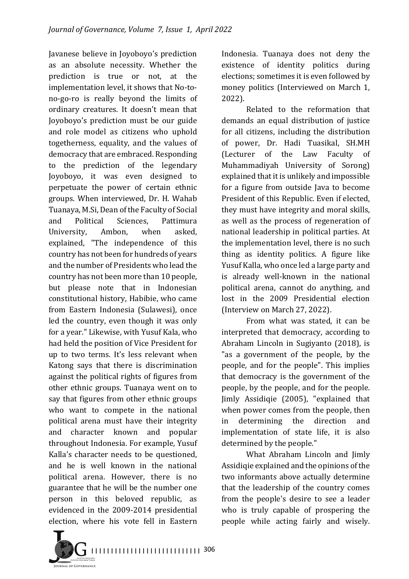Javanese believe in Joyoboyo's prediction as an absolute necessity. Whether the prediction is true or not, at the implementation level, it shows that No-tono-go-ro is really beyond the limits of ordinary creatures. It doesn't mean that Joyoboyo's prediction must be our guide and role model as citizens who uphold togetherness, equality, and the values of democracy that are embraced. Responding to the prediction of the legendary Joyoboyo, it was even designed to perpetuate the power of certain ethnic groups. When interviewed, Dr. H. Wahab Tuanaya, M.Si, Dean of the Faculty of Social and Political Sciences, Pattimura University, Ambon, when asked, explained, "The independence of this country has not been for hundreds of years and the number of Presidents who lead the country has not been more than 10 people, but please note that in Indonesian constitutional history, Habibie, who came from Eastern Indonesia (Sulawesi), once led the country, even though it was only for a year." Likewise, with Yusuf Kala, who had held the position of Vice President for up to two terms. It's less relevant when Katong says that there is discrimination against the political rights of figures from other ethnic groups. Tuanaya went on to say that figures from other ethnic groups who want to compete in the national political arena must have their integrity and character known and popular throughout Indonesia. For example, Yusuf Kalla's character needs to be questioned, and he is well known in the national political arena. However, there is no guarantee that he will be the number one person in this beloved republic, as evidenced in the 2009-2014 presidential election, where his vote fell in Eastern

Indonesia. Tuanaya does not deny the existence of identity politics during elections; sometimes it is even followed by money politics (Interviewed on March 1, 2022).

Related to the reformation that demands an equal distribution of justice for all citizens, including the distribution of power, Dr. Hadi Tuasikal, SH.MH (Lecturer of the Law Faculty of Muhammadiyah University of Sorong) explained that it is unlikely and impossible for a figure from outside Java to become President of this Republic. Even if elected, they must have integrity and moral skills, as well as the process of regeneration of national leadership in political parties. At the implementation level, there is no such thing as identity politics. A figure like Yusuf Kalla, who once led a large party and is already well-known in the national political arena, cannot do anything, and lost in the 2009 Presidential election (Interview on March 27, 2022).

From what was stated, it can be interpreted that democracy, according to Abraham Lincoln in Sugiyanto (2018), is "as a government of the people, by the people, and for the people". This implies that democracy is the government of the people, by the people, and for the people. Jimly Assidiqie (2005), "explained that when power comes from the people, then in determining the direction and implementation of state life, it is also determined by the people."

What Abraham Lincoln and Jimly Assidigie explained and the opinions of the two informants above actually determine that the leadership of the country comes from the people's desire to see a leader who is truly capable of prospering the people while acting fairly and wisely.

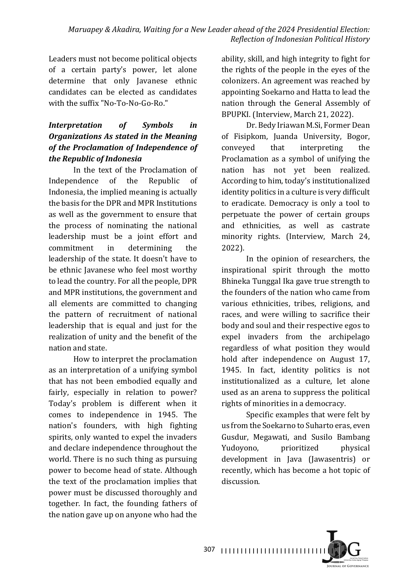#### *Maruapey & Akadira, Waiting for a New Leader ahead of the 2024 Presidential Election: Reflection of Indonesian Political History*

Leaders must not become political objects of a certain party's power, let alone determine that only Javanese ethnic candidates can be elected as candidates with the suffix "No-To-No-Go-Ro."

# *Interpretation of Symbols in*  **Organizations As stated in the Meaning** of the Proclamation of Independence of *the Republic of Indonesia*

In the text of the Proclamation of Independence of the Republic of Indonesia, the implied meaning is actually the basis for the DPR and MPR Institutions as well as the government to ensure that the process of nominating the national leadership must be a joint effort and commitment in determining the leadership of the state. It doesn't have to be ethnic Javanese who feel most worthy to lead the country. For all the people, DPR and MPR institutions, the government and all elements are committed to changing the pattern of recruitment of national leadership that is equal and just for the realization of unity and the benefit of the nation and state.

How to interpret the proclamation as an interpretation of a unifying symbol that has not been embodied equally and fairly, especially in relation to power? Today's problem is different when it comes to independence in 1945. The nation's founders, with high fighting spirits, only wanted to expel the invaders and declare independence throughout the world. There is no such thing as pursuing power to become head of state. Although the text of the proclamation implies that power must be discussed thoroughly and together. In fact, the founding fathers of the nation gave up on anyone who had the

ability, skill, and high integrity to fight for the rights of the people in the eyes of the colonizers. An agreement was reached by appointing Soekarno and Hatta to lead the nation through the General Assembly of BPUPKI. (Interview, March 21, 2022).

Dr. Bedy Iriawan M.Si, Former Dean of Fisipkom, Juanda University, Bogor, conveyed that interpreting the Proclamation as a symbol of unifying the nation has not yet been realized. According to him, today's institutionalized identity politics in a culture is very difficult to eradicate. Democracy is only a tool to perpetuate the power of certain groups and ethnicities, as well as castrate minority rights. (Interview, March 24, 2022).

In the opinion of researchers, the inspirational spirit through the motto Bhineka Tunggal Ika gave true strength to the founders of the nation who came from various ethnicities, tribes, religions, and races, and were willing to sacrifice their body and soul and their respective egos to expel invaders from the archipelago regardless of what position they would hold after independence on August 17, 1945. In fact, identity politics is not institutionalized as a culture, let alone used as an arena to suppress the political rights of minorities in a democracy.

Specific examples that were felt by us from the Soekarno to Suharto eras, even Gusdur, Megawati, and Susilo Bambang Yudoyono, prioritized physical development in Java (Jawasentris) or recently, which has become a hot topic of discussion.

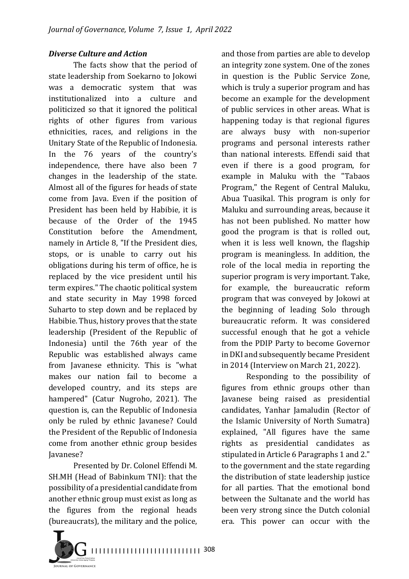#### *Diverse Culture and Action*

The facts show that the period of state leadership from Soekarno to Jokowi was a democratic system that was institutionalized into a culture and politicized so that it ignored the political rights of other figures from various ethnicities, races, and religions in the Unitary State of the Republic of Indonesia. In the 76 years of the country's independence, there have also been 7 changes in the leadership of the state. Almost all of the figures for heads of state come from Java. Even if the position of President has been held by Habibie, it is because of the Order of the 1945 Constitution before the Amendment. namely in Article 8, "If the President dies, stops, or is unable to carry out his obligations during his term of office, he is replaced by the vice president until his term expires." The chaotic political system and state security in May 1998 forced Suharto to step down and be replaced by Habibie. Thus, history proves that the state leadership (President of the Republic of Indonesia) until the 76th year of the Republic was established always came from Javanese ethnicity. This is "what makes our nation fail to become a developed country, and its steps are hampered" (Catur Nugroho, 2021). The question is, can the Republic of Indonesia only be ruled by ethnic Javanese? Could the President of the Republic of Indonesia come from another ethnic group besides Javanese?

Presented by Dr. Colonel Effendi M. SH.MH (Head of Babinkum TNI): that the possibility of a presidential candidate from another ethnic group must exist as long as the figures from the regional heads (bureaucrats), the military and the police,



and those from parties are able to develop an integrity zone system. One of the zones in question is the Public Service Zone, which is truly a superior program and has become an example for the development of public services in other areas. What is happening today is that regional figures are always busy with non-superior programs and personal interests rather than national interests. Effendi said that even if there is a good program, for example in Maluku with the "Tabaos Program," the Regent of Central Maluku, Abua Tuasikal. This program is only for Maluku and surrounding areas, because it has not been published. No matter how good the program is that is rolled out, when it is less well known, the flagship program is meaningless. In addition, the role of the local media in reporting the superior program is very important. Take, for example, the bureaucratic reform program that was conveyed by Jokowi at the beginning of leading Solo through bureaucratic reform. It was considered successful enough that he got a vehicle from the PDIP Party to become Governor in DKI and subsequently became President in 2014 (Interview on March 21, 2022).

Responding to the possibility of figures from ethnic groups other than Javanese being raised as presidential candidates, Yanhar Jamaludin (Rector of the Islamic University of North Sumatra) explained, "All figures have the same rights as presidential candidates as stipulated in Article 6 Paragraphs 1 and 2." to the government and the state regarding the distribution of state leadership justice for all parties. That the emotional bond between the Sultanate and the world has been very strong since the Dutch colonial era. This power can occur with the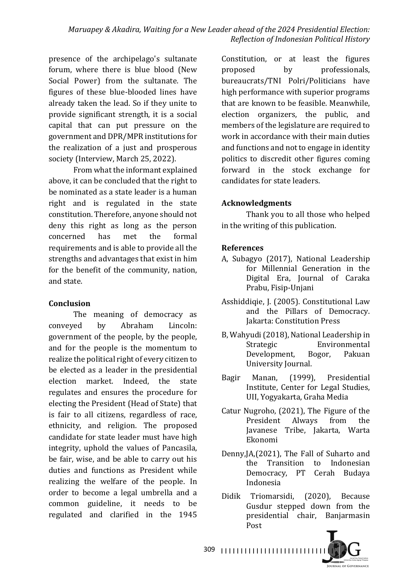presence of the archipelago's sultanate forum, where there is blue blood (New Social Power) from the sultanate. The figures of these blue-blooded lines have already taken the lead. So if they unite to provide significant strength, it is a social capital that can put pressure on the government and DPR/MPR institutions for the realization of a just and prosperous society (Interview, March 25, 2022).

From what the informant explained above, it can be concluded that the right to be nominated as a state leader is a human right and is regulated in the state constitution. Therefore, anyone should not deny this right as long as the person concerned has met the formal requirements and is able to provide all the strengths and advantages that exist in him for the benefit of the community, nation, and state.

# **Conclusion**

The meaning of democracy as conveyed by Abraham Lincoln: government of the people, by the people, and for the people is the momentum to realize the political right of every citizen to be elected as a leader in the presidential election market. Indeed, the state regulates and ensures the procedure for electing the President (Head of State) that is fair to all citizens, regardless of race, ethnicity, and religion. The proposed candidate for state leader must have high integrity, uphold the values of Pancasila, be fair, wise, and be able to carry out his duties and functions as President while realizing the welfare of the people. In order to become a legal umbrella and a common guideline, it needs to be regulated and clarified in the 1945 

Constitution, or at least the figures proposed by professionals, bureaucrats/TNI Polri/Politicians have high performance with superior programs that are known to be feasible. Meanwhile, election organizers, the public, and members of the legislature are required to work in accordance with their main duties and functions and not to engage in identity politics to discredit other figures coming forward in the stock exchange for candidates for state leaders.

# **Acknowledgments**

Thank you to all those who helped in the writing of this publication.

# **References**

- A, Subagyo (2017), National Leadership for Millennial Generation in the Digital Era, Journal of Caraka Prabu, Fisip-Unjani
- Asshiddiqie, J. (2005). Constitutional Law and the Pillars of Democracy. Jakarta: Constitution Press
- B, Wahyudi (2018), National Leadership in Strategic Environmental Development, Bogor, Pakuan University Journal.
- Bagir Manan, (1999), Presidential Institute, Center for Legal Studies, UII, Yogyakarta, Graha Media
- Catur Nugroho,  $(2021)$ , The Figure of the President Always from the Javanese Tribe, Jakarta, Warta Ekonomi
- Denny,JA,(2021), The Fall of Suharto and the Transition to Indonesian Democracy, PT Cerah Budaya Indonesia
- Didik Triomarsidi, (2020), Because Gusdur stepped down from the presidential chair, Banjarmasin Post

**JOURNAL OF GOVERNANCE** 

309 I I I I I I I I I I I I I I I I I I I I I I I I I I I I I